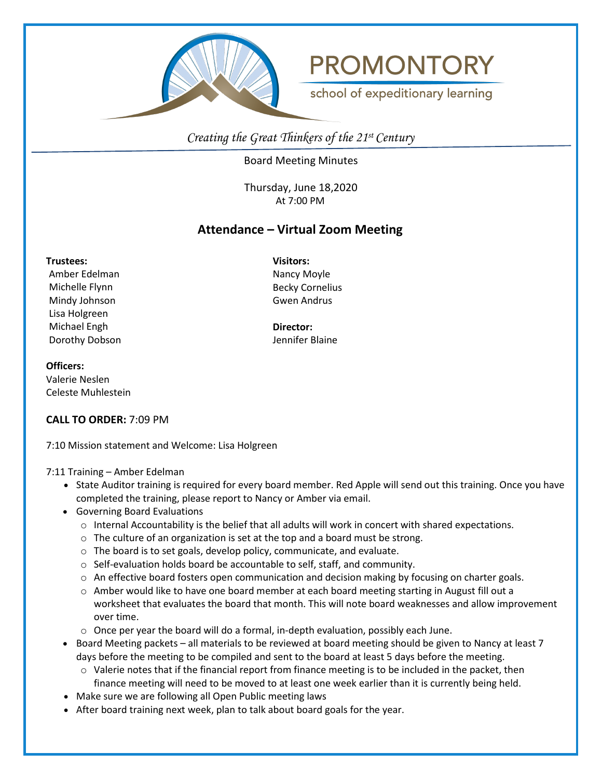



school of expeditionary learning

*Creating the Great Thinkers of the 21st Century*

Board Meeting Minutes

Thursday, June 18,2020 At 7:00 PM

# **Attendance – Virtual Zoom Meeting**

**Trustees:** Amber Edelman Michelle Flynn Mindy Johnson Lisa Holgreen Michael Engh Dorothy Dobson **Visitors:** Nancy Moyle Becky Cornelius Gwen Andrus

**Director:** Jennifer Blaine

## **Officers:**

Valerie Neslen Celeste Muhlestein

## **CALL TO ORDER:** 7:09 PM

7:10 Mission statement and Welcome: Lisa Holgreen

#### 7:11 Training – Amber Edelman

- State Auditor training is required for every board member. Red Apple will send out this training. Once you have completed the training, please report to Nancy or Amber via email.
- Governing Board Evaluations
	- $\circ$  Internal Accountability is the belief that all adults will work in concert with shared expectations.
	- o The culture of an organization is set at the top and a board must be strong.
	- o The board is to set goals, develop policy, communicate, and evaluate.
	- o Self-evaluation holds board be accountable to self, staff, and community.
	- o An effective board fosters open communication and decision making by focusing on charter goals.
	- $\circ$  Amber would like to have one board member at each board meeting starting in August fill out a worksheet that evaluates the board that month. This will note board weaknesses and allow improvement over time.
	- $\circ$  Once per year the board will do a formal, in-depth evaluation, possibly each June.
- Board Meeting packets all materials to be reviewed at board meeting should be given to Nancy at least 7 days before the meeting to be compiled and sent to the board at least 5 days before the meeting.
	- $\circ$  Valerie notes that if the financial report from finance meeting is to be included in the packet, then finance meeting will need to be moved to at least one week earlier than it is currently being held.
- Make sure we are following all Open Public meeting laws
- After board training next week, plan to talk about board goals for the year.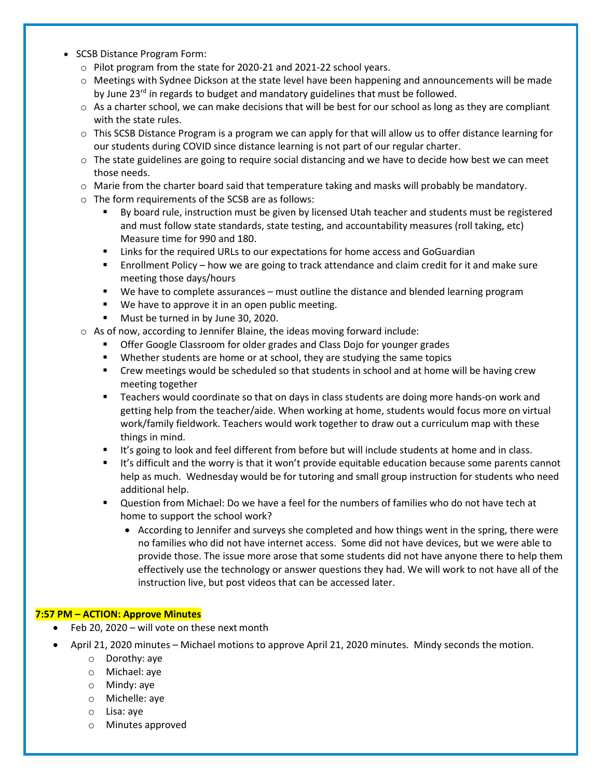- SCSB Distance Program Form:
	- o Pilot program from the state for 2020-21 and 2021-22 school years.
	- o Meetings with Sydnee Dickson at the state level have been happening and announcements will be made by June 23<sup>rd</sup> in regards to budget and mandatory guidelines that must be followed.
	- $\circ$  As a charter school, we can make decisions that will be best for our school as long as they are compliant with the state rules.
	- $\circ$  This SCSB Distance Program is a program we can apply for that will allow us to offer distance learning for our students during COVID since distance learning is not part of our regular charter.
	- $\circ$  The state guidelines are going to require social distancing and we have to decide how best we can meet those needs.
	- $\circ$  Marie from the charter board said that temperature taking and masks will probably be mandatory.
	- o The form requirements of the SCSB are as follows:
		- By board rule, instruction must be given by licensed Utah teacher and students must be registered and must follow state standards, state testing, and accountability measures (roll taking, etc) Measure time for 990 and 180.
		- Links for the required URLs to our expectations for home access and GoGuardian
		- Enrollment Policy how we are going to track attendance and claim credit for it and make sure meeting those days/hours
		- We have to complete assurances must outline the distance and blended learning program
		- We have to approve it in an open public meeting.
		- **Must be turned in by June 30, 2020.**
	- o As of now, according to Jennifer Blaine, the ideas moving forward include:
		- **F** Offer Google Classroom for older grades and Class Dojo for younger grades
		- Whether students are home or at school, they are studying the same topics
		- **•** Crew meetings would be scheduled so that students in school and at home will be having crew meeting together
		- Teachers would coordinate so that on days in class students are doing more hands-on work and getting help from the teacher/aide. When working at home, students would focus more on virtual work/family fieldwork. Teachers would work together to draw out a curriculum map with these things in mind.
		- It's going to look and feel different from before but will include students at home and in class.
		- If It's difficult and the worry is that it won't provide equitable education because some parents cannot help as much. Wednesday would be for tutoring and small group instruction for students who need additional help.
		- Question from Michael: Do we have a feel for the numbers of families who do not have tech at home to support the school work?
			- According to Jennifer and surveys she completed and how things went in the spring, there were no families who did not have internet access. Some did not have devices, but we were able to provide those. The issue more arose that some students did not have anyone there to help them effectively use the technology or answer questions they had. We will work to not have all of the instruction live, but post videos that can be accessed later.

#### **7:57 PM – ACTION: Approve Minutes**

- Feb 20, 2020 will vote on these next month
- April 21, 2020 minutes Michael motions to approve April 21, 2020 minutes. Mindy seconds the motion.
	- o Dorothy: aye
	- o Michael: aye
	- o Mindy: aye
	- o Michelle: aye
	- o Lisa: aye
	- o Minutes approved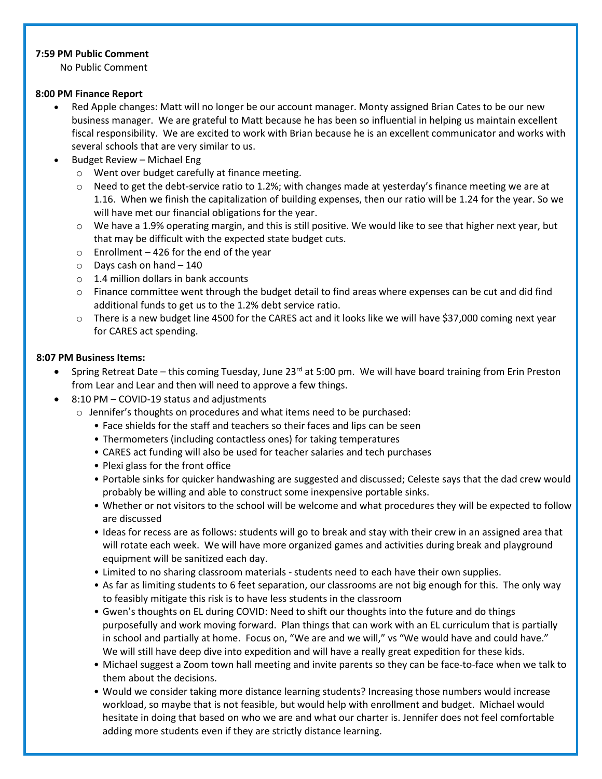## **7:59 PM Public Comment**

No Public Comment

#### **8:00 PM Finance Report**

- Red Apple changes: Matt will no longer be our account manager. Monty assigned Brian Cates to be our new business manager. We are grateful to Matt because he has been so influential in helping us maintain excellent fiscal responsibility. We are excited to work with Brian because he is an excellent communicator and works with several schools that are very similar to us.
- Budget Review Michael Eng
	- o Went over budget carefully at finance meeting.
	- $\circ$  Need to get the debt-service ratio to 1.2%; with changes made at yesterday's finance meeting we are at 1.16. When we finish the capitalization of building expenses, then our ratio will be 1.24 for the year. So we will have met our financial obligations for the year.
	- o We have a 1.9% operating margin, and this is still positive. We would like to see that higher next year, but that may be difficult with the expected state budget cuts.
	- $\circ$  Enrollment 426 for the end of the year
	- $\circ$  Days cash on hand  $-140$
	- o 1.4 million dollars in bank accounts
	- $\circ$  Finance committee went through the budget detail to find areas where expenses can be cut and did find additional funds to get us to the 1.2% debt service ratio.
	- o There is a new budget line 4500 for the CARES act and it looks like we will have \$37,000 coming next year for CARES act spending.

## **8:07 PM Business Items:**

- Spring Retreat Date this coming Tuesday, June 23<sup>rd</sup> at 5:00 pm. We will have board training from Erin Preston from Lear and Lear and then will need to approve a few things.
- 8:10 PM COVID-19 status and adjustments
	- o Jennifer's thoughts on procedures and what items need to be purchased:
		- Face shields for the staff and teachers so their faces and lips can be seen
		- Thermometers (including contactless ones) for taking temperatures
		- CARES act funding will also be used for teacher salaries and tech purchases
		- Plexi glass for the front office
		- Portable sinks for quicker handwashing are suggested and discussed; Celeste says that the dad crew would probably be willing and able to construct some inexpensive portable sinks.
		- Whether or not visitors to the school will be welcome and what procedures they will be expected to follow are discussed
		- Ideas for recess are as follows: students will go to break and stay with their crew in an assigned area that will rotate each week. We will have more organized games and activities during break and playground equipment will be sanitized each day.
		- Limited to no sharing classroom materials students need to each have their own supplies.
		- As far as limiting students to 6 feet separation, our classrooms are not big enough for this. The only way to feasibly mitigate this risk is to have less students in the classroom
		- Gwen's thoughts on EL during COVID: Need to shift our thoughts into the future and do things purposefully and work moving forward. Plan things that can work with an EL curriculum that is partially in school and partially at home. Focus on, "We are and we will," vs "We would have and could have." We will still have deep dive into expedition and will have a really great expedition for these kids.
		- Michael suggest a Zoom town hall meeting and invite parents so they can be face-to-face when we talk to them about the decisions.
		- Would we consider taking more distance learning students? Increasing those numbers would increase workload, so maybe that is not feasible, but would help with enrollment and budget. Michael would hesitate in doing that based on who we are and what our charter is. Jennifer does not feel comfortable adding more students even if they are strictly distance learning.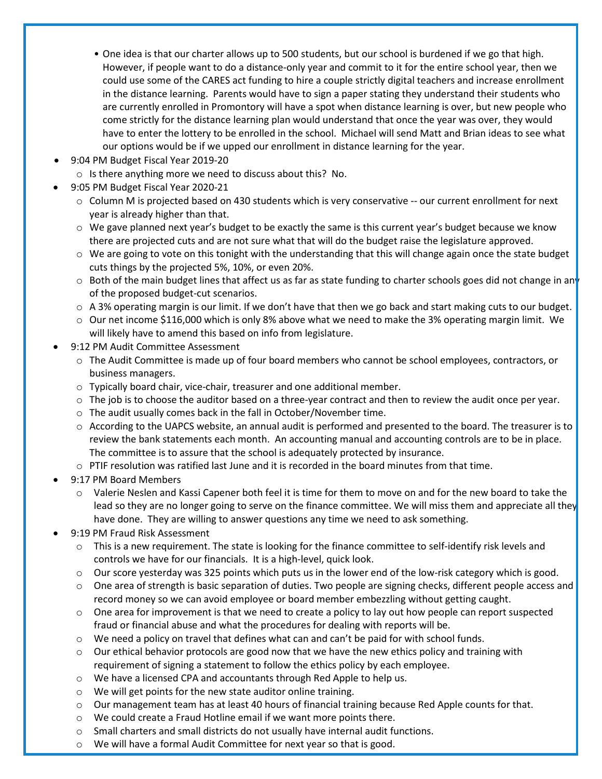- One idea is that our charter allows up to 500 students, but our school is burdened if we go that high. However, if people want to do a distance-only year and commit to it for the entire school year, then we could use some of the CARES act funding to hire a couple strictly digital teachers and increase enrollment in the distance learning. Parents would have to sign a paper stating they understand their students who are currently enrolled in Promontory will have a spot when distance learning is over, but new people who come strictly for the distance learning plan would understand that once the year was over, they would have to enter the lottery to be enrolled in the school. Michael will send Matt and Brian ideas to see what our options would be if we upped our enrollment in distance learning for the year.
- 9:04 PM Budget Fiscal Year 2019-20
	- o Is there anything more we need to discuss about this? No.
	- 9:05 PM Budget Fiscal Year 2020-21
		- o Column M is projected based on 430 students which is very conservative -- our current enrollment for next year is already higher than that.
		- $\circ$  We gave planned next year's budget to be exactly the same is this current year's budget because we know there are projected cuts and are not sure what that will do the budget raise the legislature approved.
		- $\circ$  We are going to vote on this tonight with the understanding that this will change again once the state budget cuts things by the projected 5%, 10%, or even 20%.
		- $\circ$  Both of the main budget lines that affect us as far as state funding to charter schools goes did not change in an of the proposed budget-cut scenarios.
		- $\circ$  A 3% operating margin is our limit. If we don't have that then we go back and start making cuts to our budget.
		- $\circ$  Our net income \$116,000 which is only 8% above what we need to make the 3% operating margin limit. We will likely have to amend this based on info from legislature.
- 9:12 PM Audit Committee Assessment
	- o The Audit Committee is made up of four board members who cannot be school employees, contractors, or business managers.
	- $\circ$  Typically board chair, vice-chair, treasurer and one additional member.
	- $\circ$  The job is to choose the auditor based on a three-year contract and then to review the audit once per year.
	- o The audit usually comes back in the fall in October/November time.
	- o According to the UAPCS website, an annual audit is performed and presented to the board. The treasurer is to review the bank statements each month. An accounting manual and accounting controls are to be in place. The committee is to assure that the school is adequately protected by insurance.
	- $\circ$  PTIF resolution was ratified last June and it is recorded in the board minutes from that time.
- 9:17 PM Board Members
	- o Valerie Neslen and Kassi Capener both feel it is time for them to move on and for the new board to take the lead so they are no longer going to serve on the finance committee. We will miss them and appreciate all they have done. They are willing to answer questions any time we need to ask something.
- 9:19 PM Fraud Risk Assessment
	- $\circ$  This is a new requirement. The state is looking for the finance committee to self-identify risk levels and controls we have for our financials. It is a high-level, quick look.
	- $\circ$  Our score yesterday was 325 points which puts us in the lower end of the low-risk category which is good.
	- $\circ$  One area of strength is basic separation of duties. Two people are signing checks, different people access and record money so we can avoid employee or board member embezzling without getting caught.
	- $\circ$  One area for improvement is that we need to create a policy to lay out how people can report suspected fraud or financial abuse and what the procedures for dealing with reports will be.
	- $\circ$  We need a policy on travel that defines what can and can't be paid for with school funds.
	- $\circ$  Our ethical behavior protocols are good now that we have the new ethics policy and training with requirement of signing a statement to follow the ethics policy by each employee.
	- o We have a licensed CPA and accountants through Red Apple to help us.
	- o We will get points for the new state auditor online training.
	- $\circ$  Our management team has at least 40 hours of financial training because Red Apple counts for that.
	- o We could create a Fraud Hotline email if we want more points there.
	- $\circ$  Small charters and small districts do not usually have internal audit functions.
	- $\circ$  We will have a formal Audit Committee for next year so that is good.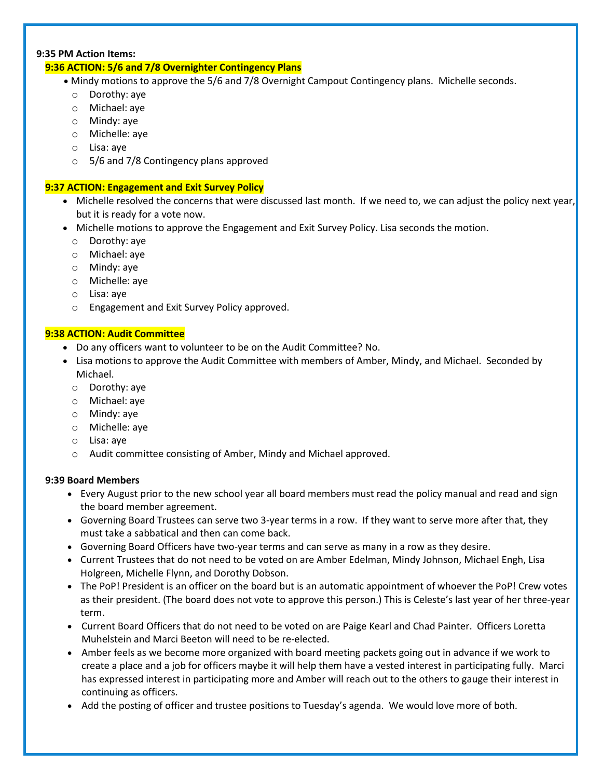## **9:35 PM Action Items:**

## **9:36 ACTION: 5/6 and 7/8 Overnighter Contingency Plans**

- Mindy motions to approve the 5/6 and 7/8 Overnight Campout Contingency plans. Michelle seconds.
	- o Dorothy: aye
	- o Michael: aye
	- o Mindy: aye
	- o Michelle: aye
	- o Lisa: aye
	- o 5/6 and 7/8 Contingency plans approved

## **9:37 ACTION: Engagement and Exit Survey Policy**

- Michelle resolved the concerns that were discussed last month. If we need to, we can adjust the policy next year, but it is ready for a vote now.
- Michelle motions to approve the Engagement and Exit Survey Policy. Lisa seconds the motion.
	- o Dorothy: aye
	- o Michael: aye
	- o Mindy: aye
	- o Michelle: aye
	- o Lisa: aye
	- o Engagement and Exit Survey Policy approved.

## **9:38 ACTION: Audit Committee**

- Do any officers want to volunteer to be on the Audit Committee? No.
- Lisa motions to approve the Audit Committee with members of Amber, Mindy, and Michael. Seconded by Michael.
	- o Dorothy: aye
	- o Michael: aye
	- o Mindy: aye
	- o Michelle: aye
	- o Lisa: aye
	- o Audit committee consisting of Amber, Mindy and Michael approved.

#### **9:39 Board Members**

- Every August prior to the new school year all board members must read the policy manual and read and sign the board member agreement.
- Governing Board Trustees can serve two 3-year terms in a row. If they want to serve more after that, they must take a sabbatical and then can come back.
- Governing Board Officers have two-year terms and can serve as many in a row as they desire.
- Current Trustees that do not need to be voted on are Amber Edelman, Mindy Johnson, Michael Engh, Lisa Holgreen, Michelle Flynn, and Dorothy Dobson.
- The PoP! President is an officer on the board but is an automatic appointment of whoever the PoP! Crew votes as their president. (The board does not vote to approve this person.) This is Celeste's last year of her three-year term.
- Current Board Officers that do not need to be voted on are Paige Kearl and Chad Painter. Officers Loretta Muhelstein and Marci Beeton will need to be re-elected.
- Amber feels as we become more organized with board meeting packets going out in advance if we work to create a place and a job for officers maybe it will help them have a vested interest in participating fully. Marci has expressed interest in participating more and Amber will reach out to the others to gauge their interest in continuing as officers.
- Add the posting of officer and trustee positions to Tuesday's agenda. We would love more of both.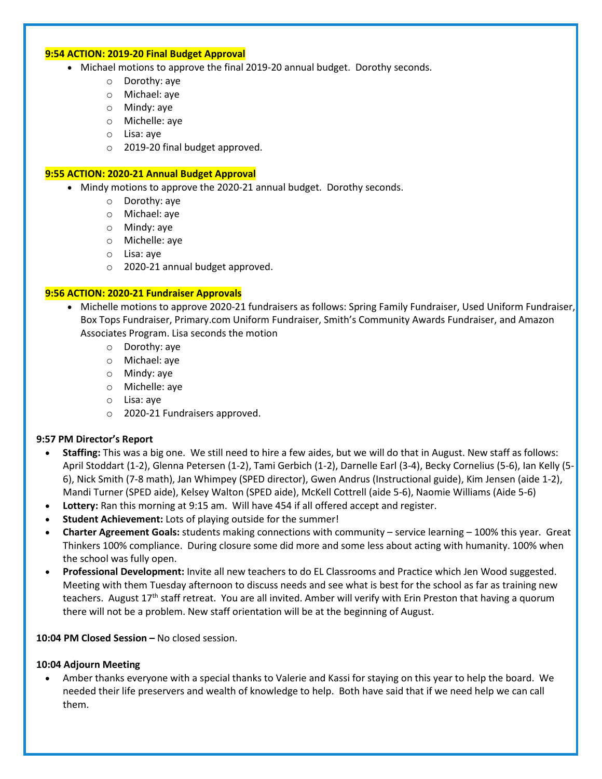#### **9:54 ACTION: 2019-20 Final Budget Approval**

- Michael motions to approve the final 2019-20 annual budget. Dorothy seconds.
	- o Dorothy: aye
	- o Michael: aye
	- o Mindy: aye
	- o Michelle: aye
	- o Lisa: aye
	- o 2019-20 final budget approved.

#### **9:55 ACTION: 2020-21 Annual Budget Approval**

- Mindy motions to approve the 2020-21 annual budget. Dorothy seconds.
	- o Dorothy: aye
	- o Michael: aye
	- o Mindy: aye
	- o Michelle: aye
	- o Lisa: aye
	- o 2020-21 annual budget approved.

#### **9:56 ACTION: 2020-21 Fundraiser Approvals**

- Michelle motions to approve 2020-21 fundraisers as follows: Spring Family Fundraiser, Used Uniform Fundraiser, Box Tops Fundraiser, Primary.com Uniform Fundraiser, Smith's Community Awards Fundraiser, and Amazon Associates Program. Lisa seconds the motion
	- o Dorothy: aye
	- o Michael: aye
	- o Mindy: aye
	- o Michelle: aye
	- o Lisa: aye
	- o 2020-21 Fundraisers approved.

#### **9:57 PM Director's Report**

- **Staffing:** This was a big one. We still need to hire a few aides, but we will do that in August. New staff as follows: April Stoddart (1-2), Glenna Petersen (1-2), Tami Gerbich (1-2), Darnelle Earl (3-4), Becky Cornelius (5-6), Ian Kelly (5- 6), Nick Smith (7-8 math), Jan Whimpey (SPED director), Gwen Andrus (Instructional guide), Kim Jensen (aide 1-2), Mandi Turner (SPED aide), Kelsey Walton (SPED aide), McKell Cottrell (aide 5-6), Naomie Williams (Aide 5-6)
- **Lottery:** Ran this morning at 9:15 am. Will have 454 if all offered accept and register.
- **Student Achievement:** Lots of playing outside for the summer!
- **Charter Agreement Goals:** students making connections with community service learning 100% this year. Great Thinkers 100% compliance. During closure some did more and some less about acting with humanity. 100% when the school was fully open.
- **Professional Development:** Invite all new teachers to do EL Classrooms and Practice which Jen Wood suggested. Meeting with them Tuesday afternoon to discuss needs and see what is best for the school as far as training new teachers. August 17<sup>th</sup> staff retreat. You are all invited. Amber will verify with Erin Preston that having a quorum there will not be a problem. New staff orientation will be at the beginning of August.

#### **10:04 PM Closed Session –** No closed session.

#### **10:04 Adjourn Meeting**

• Amber thanks everyone with a special thanks to Valerie and Kassi for staying on this year to help the board. We needed their life preservers and wealth of knowledge to help. Both have said that if we need help we can call them.